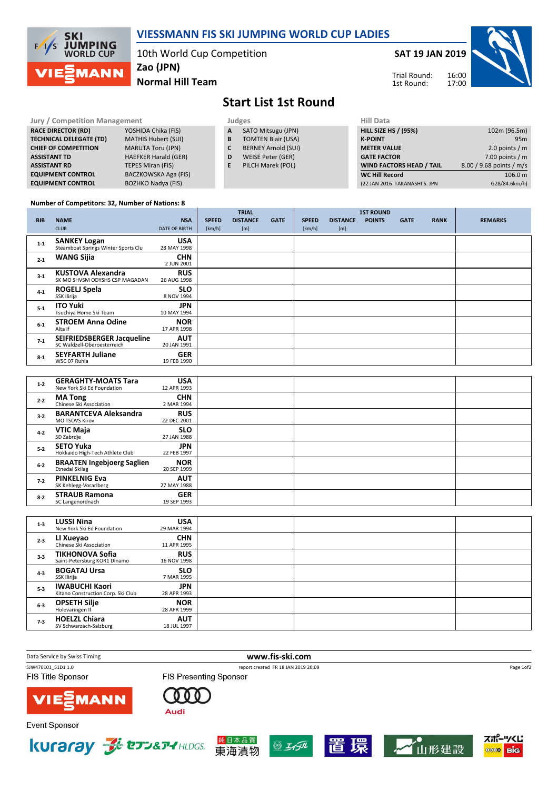

## VIESSMANN FIS SKI JUMPING WORLD CUP LADIES

10th World Cup Competition Zao (JPN)

Normal Hill Team

SAT 19 JAN 2019



> $106.0 m$ G28/84.6km/h)

Trial Round: 1st Round:

## Start List 1st Round

| <b>Jury / Competition Management</b> |                             |    | Judges                     | <b>Hill Data</b>                |                          |  |
|--------------------------------------|-----------------------------|----|----------------------------|---------------------------------|--------------------------|--|
| <b>RACE DIRECTOR (RD)</b>            | YOSHIDA Chika (FIS)         | A  | SATO Mitsugu (JPN)         | <b>HILL SIZE HS / (95%)</b>     | 102m (96.5m)             |  |
| <b>TECHNICAL DELEGATE (TD)</b>       | <b>MATHIS Hubert (SUI)</b>  | B  | <b>TOMTEN Blair (USA)</b>  | <b>K-POINT</b>                  | 95m                      |  |
| <b>CHIEF OF COMPETITION</b>          | <b>MARUTA Toru (JPN)</b>    | C  | <b>BERNEY Arnold (SUI)</b> | <b>METER VALUE</b>              | 2.0 points $/m$          |  |
| <b>ASSISTANT TD</b>                  | <b>HAEFKER Harald (GER)</b> | D  | WEISE Peter (GER)          | <b>GATE FACTOR</b>              | 7.00 points $/m$         |  |
| <b>ASSISTANT RD</b>                  | TEPES Miran (FIS)           | Е. | PILCH Marek (POL)          | <b>WIND FACTORS HEAD / TAIL</b> | 8.00 / 9.68 points / m/s |  |
| <b>EQUIPMENT CONTROL</b>             | BACZKOWSKA Aga (FIS)        |    |                            | <b>WC Hill Record</b>           | 106.0 m                  |  |
| <b>EQUIPMENT CONTROL</b>             | <b>BOZHKO Nadya (FIS)</b>   |    |                            | (22 JAN 2016 TAKANASHI S. JPN   | G28/84.6km/h)            |  |

## Number of Competitors: 32, Number of Nations: 8

|            |                                                            |                           |              | <b>TRIAL</b>    |             |              |                 | <b>1ST ROUND</b> |             |             |                |
|------------|------------------------------------------------------------|---------------------------|--------------|-----------------|-------------|--------------|-----------------|------------------|-------------|-------------|----------------|
| <b>BIB</b> | <b>NAME</b>                                                | <b>NSA</b>                | <b>SPEED</b> | <b>DISTANCE</b> | <b>GATE</b> | <b>SPEED</b> | <b>DISTANCE</b> | <b>POINTS</b>    | <b>GATE</b> | <b>RANK</b> | <b>REMARKS</b> |
|            | <b>CLUB</b>                                                | <b>DATE OF BIRTH</b>      | [km/h]       | [m]             |             | [km/h]       | [m]             |                  |             |             |                |
| $1 - 1$    | <b>SANKEY Logan</b><br>Steamboat Springs Winter Sports Clu | <b>USA</b><br>28 MAY 1998 |              |                 |             |              |                 |                  |             |             |                |
| $2 - 1$    | <b>WANG Sijia</b>                                          | <b>CHN</b><br>2 JUN 2001  |              |                 |             |              |                 |                  |             |             |                |
| $3 - 1$    | <b>KUSTOVA Alexandra</b><br>SK MO SHVSM ODYSHS CSP MAGADAN | <b>RUS</b><br>26 AUG 1998 |              |                 |             |              |                 |                  |             |             |                |
| $4 - 1$    | <b>ROGELJ Spela</b><br>SSK Ilirija                         | <b>SLO</b><br>8 NOV 1994  |              |                 |             |              |                 |                  |             |             |                |
| $5 - 1$    | <b>ITO Yuki</b><br>Tsuchiya Home Ski Team                  | <b>JPN</b><br>10 MAY 1994 |              |                 |             |              |                 |                  |             |             |                |
| $6-1$      | <b>STROEM Anna Odine</b><br>Alta If                        | <b>NOR</b><br>17 APR 1998 |              |                 |             |              |                 |                  |             |             |                |
| $7-1$      | SEIFRIEDSBERGER Jacqueline<br>SC Waldzell-Oberoesterreich  | <b>AUT</b><br>20 JAN 1991 |              |                 |             |              |                 |                  |             |             |                |
| $8 - 1$    | <b>SEYFARTH Juliane</b><br>WSC 07 Ruhla                    | <b>GER</b><br>19 FEB 1990 |              |                 |             |              |                 |                  |             |             |                |

| $1 - 2$ | <b>GERAGHTY-MOATS Tara</b><br>New York Ski Ed Foundation   | <b>USA</b><br>12 APR 1993 |  |  |
|---------|------------------------------------------------------------|---------------------------|--|--|
| $2 - 2$ | <b>MA Tong</b><br>Chinese Ski Association                  | <b>CHN</b><br>2 MAR 1994  |  |  |
| $3 - 2$ | <b>BARANTCEVA Aleksandra</b><br><b>MO TSOVS Kirov</b>      | <b>RUS</b><br>22 DEC 2001 |  |  |
| $4 - 2$ | <b>VTIC Maja</b><br>SD Zabrdje                             | <b>SLO</b><br>27 JAN 1988 |  |  |
| $5 - 2$ | <b>SETO Yuka</b><br>Hokkaido High-Tech Athlete Club        | <b>JPN</b><br>22 FEB 1997 |  |  |
| $6 - 2$ | <b>BRAATEN Ingebjoerg Saglien</b><br><b>Etnedal Skilag</b> | <b>NOR</b><br>20 SEP 1999 |  |  |
| $7-2$   | <b>PINKELNIG Eva</b><br>SK Kehlegg-Vorarlberg              | <b>AUT</b><br>27 MAY 1988 |  |  |
| $8 - 2$ | <b>STRAUB Ramona</b><br>SC Langenordnach                   | <b>GER</b><br>19 SEP 1993 |  |  |

| $1 - 3$ | <b>LUSSI Nina</b><br>New York Ski Ed Foundation             | <b>USA</b><br>29 MAR 1994 |  |
|---------|-------------------------------------------------------------|---------------------------|--|
| $2 - 3$ | LI Xueyao<br>Chinese Ski Association                        | <b>CHN</b><br>11 APR 1995 |  |
| $3-3$   | <b>TIKHONOVA Sofia</b><br>Saint-Petersburg KOR1 Dinamo      | <b>RUS</b><br>16 NOV 1998 |  |
| $4 - 3$ | <b>BOGATAJ Ursa</b><br>SSK Ilirija                          | <b>SLO</b><br>7 MAR 1995  |  |
| $5 - 3$ | <b>IWABUCHI Kaori</b><br>Kitano Construction Corp. Ski Club | JPN.<br>28 APR 1993       |  |
| $6 - 3$ | <b>OPSETH Silje</b><br>Holevaringen II                      | <b>NOR</b><br>28 APR 1999 |  |
| $7-3$   | <b>HOELZL Chiara</b><br>SV Schwarzach-Salzburg              | <b>AUT</b><br>18 JUL 1997 |  |

SJW470101\_51D1 1.0 report created FR 18 JAN 2019 20:09

Data Service by Swiss Timing **WWW.fis-ski.com** 

**FIS Title Sponsor** 

FIS Presenting Sponsor



000 Audi

**Event Sponsor** 











Page 1of2